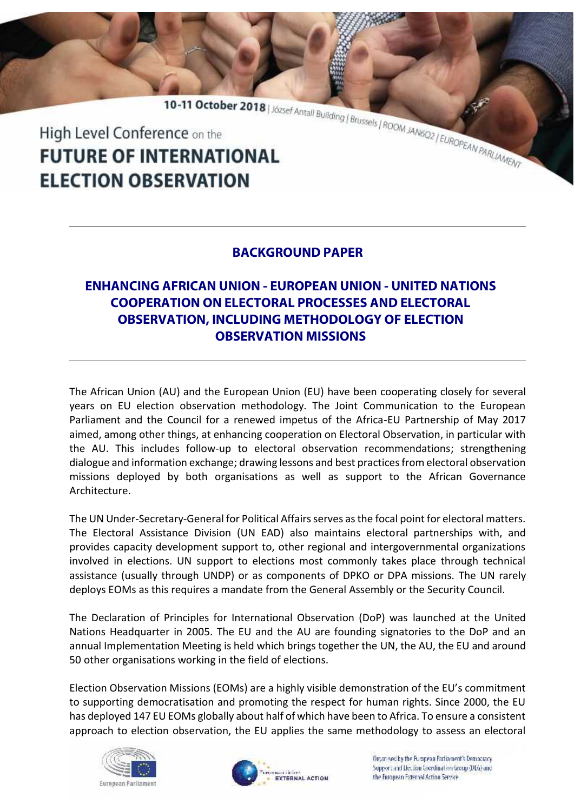10-11 October 2018 | József Antall Building | Brussels | ROOM JANGO2 | EUROPEAN PARLAMENT High Level Conference on the **FUTURE OF INTERNATIONAL ELECTION OBSERVATION** 

## **BACKGROUND PAPER**

## **ENHANCING AFRICAN UNION - EUROPEAN UNION - UNITED NATIONS COOPERATION ON ELECTORAL PROCESSES AND ELECTORAL OBSERVATION, INCLUDING METHODOLOGY OF ELECTION OBSERVATION MISSIONS**

The African Union (AU) and the European Union (EU) have been cooperating closely for several years on EU election observation methodology. The Joint Communication to the European Parliament and the Council for a renewed impetus of the Africa-EU Partnership of May 2017 aimed, among other things, at enhancing cooperation on Electoral Observation, in particular with the AU. This includes follow-up to electoral observation recommendations; strengthening dialogue and information exchange; drawing lessons and best practices from electoral observation missions deployed by both organisations as well as support to the African Governance Architecture.

The UN Under-Secretary-General for Political Affairs serves as the focal point for electoral matters. The Electoral Assistance Division (UN EAD) also maintains electoral partnerships with, and provides capacity development support to, other regional and intergovernmental organizations involved in elections. UN support to elections most commonly takes place through technical assistance (usually through UNDP) or as components of DPKO or DPA missions. The UN rarely deploys EOMs as this requires a mandate from the General Assembly or the Security Council.

The Declaration of Principles for International Observation (DoP) was launched at the United Nations Headquarter in 2005. The EU and the AU are founding signatories to the DoP and an annual Implementation Meeting is held which brings together the UN, the AU, the EU and around 50 other organisations working in the field of elections.

Election Observation Missions (EOMs) are a highly visible demonstration of the EU's commitment to supporting democratisation and promoting the respect for human rights. Since 2000, the EU has deployed 147 EU EOMs globally about half of which have been to Africa. To ensure a consistent approach to election observation, the EU applies the same methodology to assess an electoral





Organised by the European Parliament's Democracy. Support and Liection Coordination Group (DEG) and the Euronean External Action Service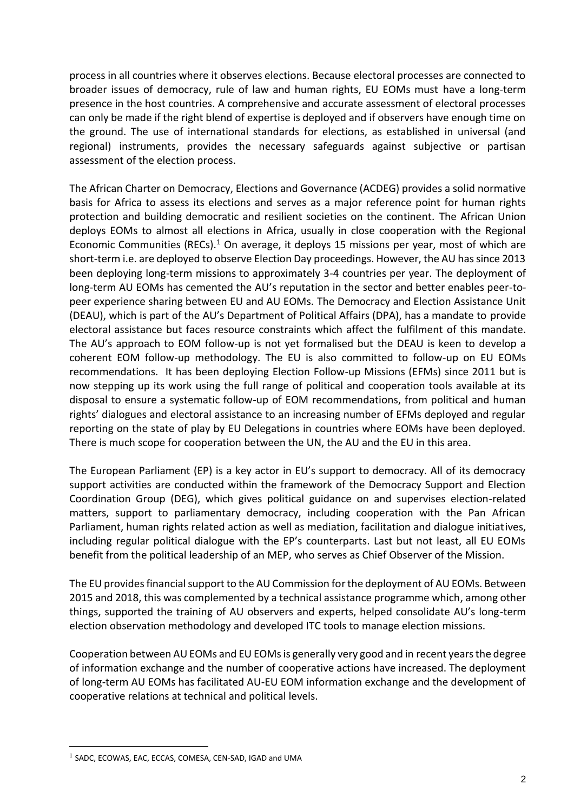process in all countries where it observes elections. Because electoral processes are connected to broader issues of democracy, rule of law and human rights, EU EOMs must have a long-term presence in the host countries. A comprehensive and accurate assessment of electoral processes can only be made if the right blend of expertise is deployed and if observers have enough time on the ground. The use of international standards for elections, as established in universal (and regional) instruments, provides the necessary safeguards against subjective or partisan assessment of the election process.

The African Charter on Democracy, Elections and Governance (ACDEG) provides a solid normative basis for Africa to assess its elections and serves as a major reference point for human rights protection and building democratic and resilient societies on the continent. The African Union deploys EOMs to almost all elections in Africa, usually in close cooperation with the Regional Economic Communities (RECs).<sup>1</sup> On average, it deploys 15 missions per year, most of which are short-term i.e. are deployed to observe Election Day proceedings. However, the AU has since 2013 been deploying long-term missions to approximately 3-4 countries per year. The deployment of long-term AU EOMs has cemented the AU's reputation in the sector and better enables peer-to peer experience sharing between EU and AU EOMs. The Democracy and Election Assistance Unit (DEAU), which is part of the AU's Department of Political Affairs (DPA), has a mandate to provide electoral assistance but faces resource constraints which affect the fulfilment of this mandate. The AU's approach to EOM follow-up is not yet formalised but the DEAU is keen to develop a coherent EOM follow-up methodology. The EU is also committed to follow-up on EU EOMs recommendations. It has been deploying Election Follow-up Missions (EFMs) since 2011 but is now stepping up its work using the full range of political and cooperation tools available at its disposal to ensure a systematic follow-up of EOM recommendations, from political and human rights' dialogues and electoral assistance to an increasing number of EFMs deployed and regular reporting on the state of play by EU Delegations in countries where EOMs have been deployed. There is much scope for cooperation between the UN, the AU and the EU in this area.

The European Parliament (EP) is a key actor in EU's support to democracy. All of its democracy support activities are conducted within the framework of the Democracy Support and Election Coordination Group (DEG), which gives political guidance on and supervises election-related matters, support to parliamentary democracy, including cooperation with the Pan African Parliament, human rights related action as well as mediation, facilitation and dialogue initiatives, including regular political dialogue with the EP's counterparts. Last but not least, all EU EOMs benefit from the political leadership of an MEP, who serves as Chief Observer of the Mission.

The EU provides financial support to the AU Commission for the deployment of AU EOMs. Between 2015 and 2018, this was complemented by a technical assistance programme which, among other things, supported the training of AU observers and experts, helped consolidate AU's long-term election observation methodology and developed ITC tools to manage election missions.

Cooperation between AU EOMs and EU EOMs is generally very good and in recent years the degree of information exchange and the number of cooperative actions have increased. The deployment of long-term AU EOMs has facilitated AU-EU EOM information exchange and the development of cooperative relations at technical and political levels.

<sup>1</sup> SADC, ECOWAS, EAC, ECCAS, COMESA, CEN-SAD, IGAD and UMA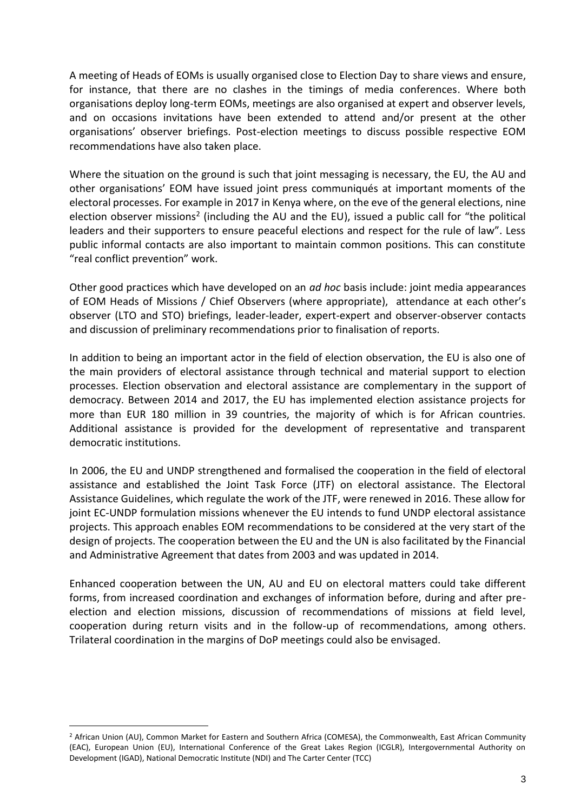A meeting of Heads of EOMs is usually organised close to Election Day to share views and ensure, for instance, that there are no clashes in the timings of media conferences. Where both organisations deploy long-term EOMs, meetings are also organised at expert and observer levels, and on occasions invitations have been extended to attend and/or present at the other organisations' observer briefings. Post-election meetings to discuss possible respective EOM recommendations have also taken place.

Where the situation on the ground is such that joint messaging is necessary, the EU, the AU and other organisations' EOM have issued joint press communiqués at important moments of the electoral processes. For example in 2017 in Kenya where, on the eve of the general elections, nine election observer missions<sup>2</sup> (including the AU and the EU), issued a public call for "the political leaders and their supporters to ensure peaceful elections and respect for the rule of law". Less public informal contacts are also important to maintain common positions. This can constitute "real conflict prevention" work.

Other good practices which have developed on an *ad hoc* basis include: joint media appearances of EOM Heads of Missions / Chief Observers (where appropriate), attendance at each other's observer (LTO and STO) briefings, leader-leader, expert-expert and observer-observer contacts and discussion of preliminary recommendations prior to finalisation of reports.

In addition to being an important actor in the field of election observation, the EU is also one of the main providers of electoral assistance through technical and material support to election processes. Election observation and electoral assistance are complementary in the support of democracy. Between 2014 and 2017, the EU has implemented election assistance projects for more than EUR 180 million in 39 countries, the majority of which is for African countries. Additional assistance is provided for the development of representative and transparent democratic institutions.

In 2006, the EU and UNDP strengthened and formalised the cooperation in the field of electoral assistance and established the Joint Task Force (JTF) on electoral assistance. The Electoral Assistance Guidelines, which regulate the work of the JTF, were renewed in 2016. These allow for joint EC-UNDP formulation missions whenever the EU intends to fund UNDP electoral assistance projects. This approach enables EOM recommendations to be considered at the very start of the design of projects. The cooperation between the EU and the UN is also facilitated by the Financial and Administrative Agreement that dates from 2003 and was updated in 2014.

Enhanced cooperation between the UN, AU and EU on electoral matters could take different forms, from increased coordination and exchanges of information before, during and after pre election and election missions, discussion of recommendations of missions at field level, cooperation during return visits and in the follow-up of recommendations, among others. Trilateral coordination in the margins of DoP meetings could also be envisaged.

<sup>&</sup>lt;sup>2</sup> African Union (AU), Common Market for Eastern and Southern Africa (COMESA), the Commonwealth, East African Community (EAC), European Union (EU), International Conference of the Great Lakes Region (ICGLR), Intergovernmental Authority on Development (IGAD), National Democratic Institute (NDI) and The Carter Center (TCC)